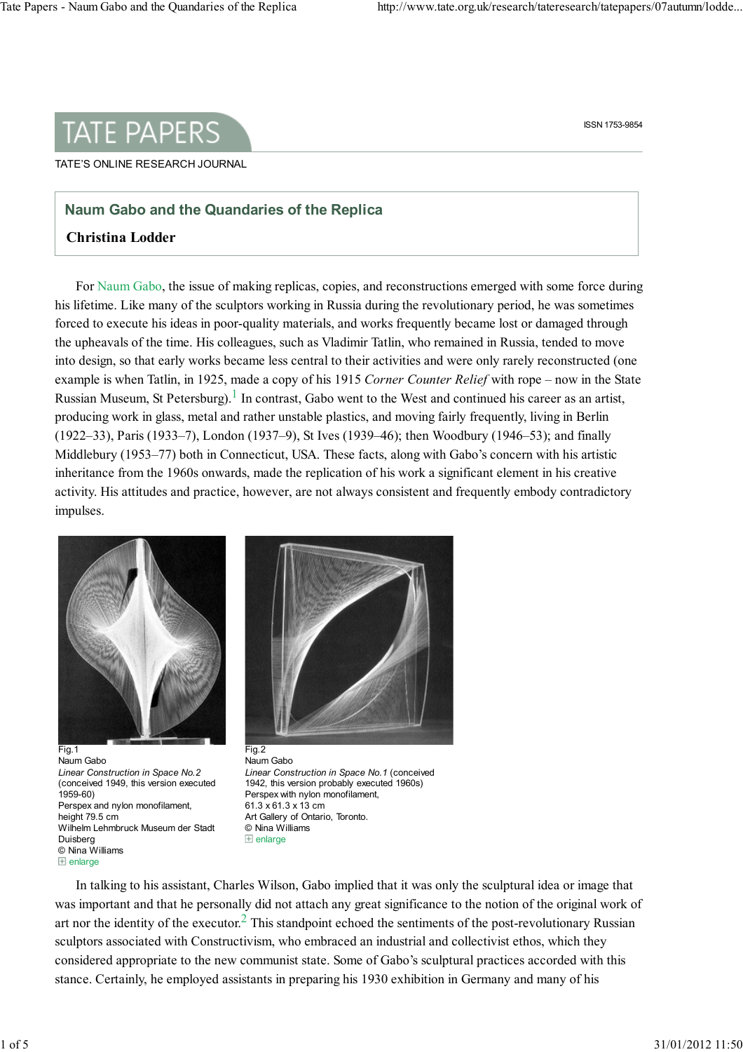

## TATE'S ONLINE RESEARCH JOURNAL

## Naum Gabo and the Quandaries of the Replica

## Christina Lodder

For Naum Gabo, the issue of making replicas, copies, and reconstructions emerged with some force during his lifetime. Like many of the sculptors working in Russia during the revolutionary period, he was sometimes forced to execute his ideas in poor-quality materials, and works frequently became lost or damaged through the upheavals of the time. His colleagues, such as Vladimir Tatlin, who remained in Russia, tended to move into design, so that early works became less central to their activities and were only rarely reconstructed (one example is when Tatlin, in 1925, made a copy of his 1915 Corner Counter Relief with rope – now in the State Russian Museum, St Petersburg).<sup>1</sup> In contrast, Gabo went to the West and continued his career as an artist, producing work in glass, metal and rather unstable plastics, and moving fairly frequently, living in Berlin (1922–33), Paris (1933–7), London (1937–9), St Ives (1939–46); then Woodbury (1946–53); and finally Middlebury (1953–77) both in Connecticut, USA. These facts, along with Gabo's concern with his artistic inheritance from the 1960s onwards, made the replication of his work a significant element in his creative activity. His attitudes and practice, however, are not always consistent and frequently embody contradictory impulses.



Fig.1 Naum Gabo Linear Construction in Space No.2 (conceived 1949, this version executed 1959-60) Perspex and nylon monofilament, height 79.5 cm Wilhelm Lehmbruck Museum der Stadt Duisberg © Nina Williams  $E$  enlarge



Naum Gabo Linear Construction in Space No.1 (conceived 1942, this version probably executed 1960s) Perspex with nylon monofilament, 61.3 x 61.3 x 13 cm Art Gallery of Ontario, Toronto. © Nina Williams  $\overline{+}$  enlarge

In talking to his assistant, Charles Wilson, Gabo implied that it was only the sculptural idea or image that was important and that he personally did not attach any great significance to the notion of the original work of art nor the identity of the executor.<sup>2</sup> This standpoint echoed the sentiments of the post-revolutionary Russian sculptors associated with Constructivism, who embraced an industrial and collectivist ethos, which they considered appropriate to the new communist state. Some of Gabo's sculptural practices accorded with this stance. Certainly, he employed assistants in preparing his 1930 exhibition in Germany and many of his

ISSN 1753-9854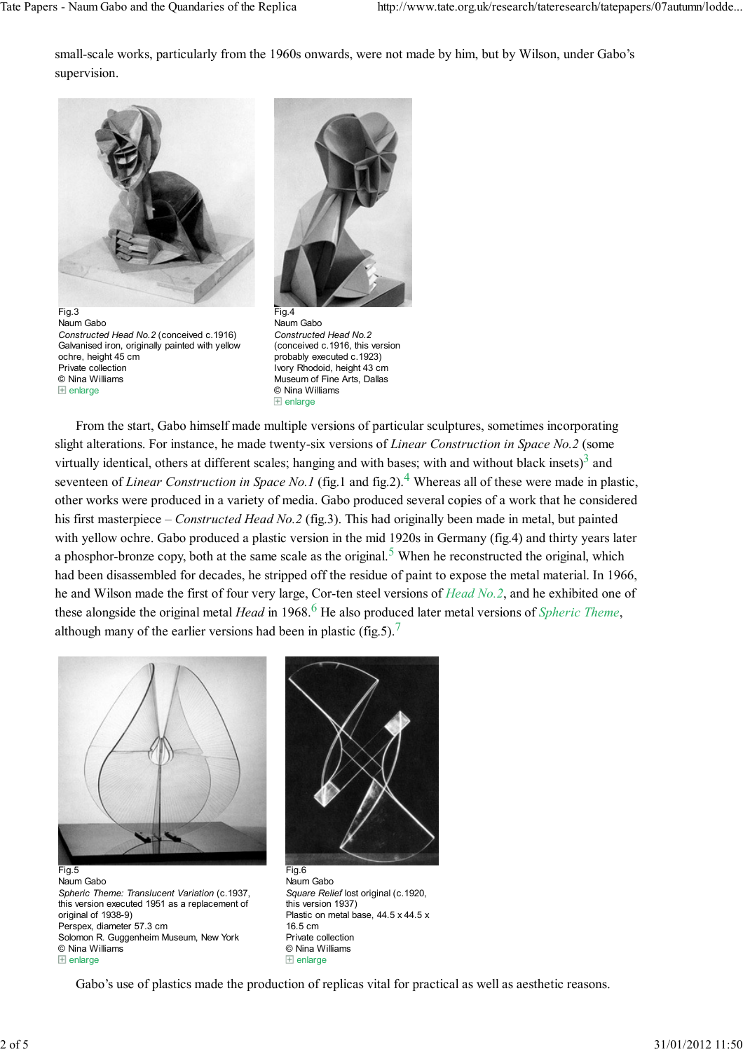small-scale works, particularly from the 1960s onwards, were not made by him, but by Wilson, under Gabo's supervision.



Fig.3 Naum Gabo Constructed Head No.2 (conceived c.1916) Galvanised iron, originally painted with yellow ochre, height 45 cm Private collection © Nina Williams  $\boxplus$  enlarge



Naum Gabo Constructed Head No.2 (conceived c.1916, this version probably executed c.1923) Ivory Rhodoid, height 43 cm Museum of Fine Arts, Dallas © Nina Williams  $\boxplus$  enlarge

From the start, Gabo himself made multiple versions of particular sculptures, sometimes incorporating slight alterations. For instance, he made twenty-six versions of Linear Construction in Space No.2 (some virtually identical, others at different scales; hanging and with bases; with and without black insets) $3$  and seventeen of *Linear Construction in Space No.1* (fig.1 and fig.2).<sup>4</sup> Whereas all of these were made in plastic, other works were produced in a variety of media. Gabo produced several copies of a work that he considered his first masterpiece – Constructed Head No.2 (fig.3). This had originally been made in metal, but painted with yellow ochre. Gabo produced a plastic version in the mid 1920s in Germany (fig.4) and thirty years later a phosphor-bronze copy, both at the same scale as the original.<sup>5</sup> When he reconstructed the original, which had been disassembled for decades, he stripped off the residue of paint to expose the metal material. In 1966, he and Wilson made the first of four very large, Cor-ten steel versions of Head No.2, and he exhibited one of these alongside the original metal *Head* in 1968.<sup>6</sup> He also produced later metal versions of *Spheric Theme*, although many of the earlier versions had been in plastic (fig.5).<sup>7</sup>



Fig.5 Naum Gabo Spheric Theme: Translucent Variation (c.1937, this version executed 1951 as a replacement of original of 1938-9) Perspex, diameter 57.3 cm Solomon R. Guggenheim Museum, New York © Nina Williams  $\boxplus$  enlarge



Fig.6 Naum Gabo Square Relief lost original (c.1920, this version 1937) Plastic on metal base, 44.5 x 44.5 x 16.5 cm Private collection © Nina Williams  $\boxplus$  enlarge

Gabo's use of plastics made the production of replicas vital for practical as well as aesthetic reasons.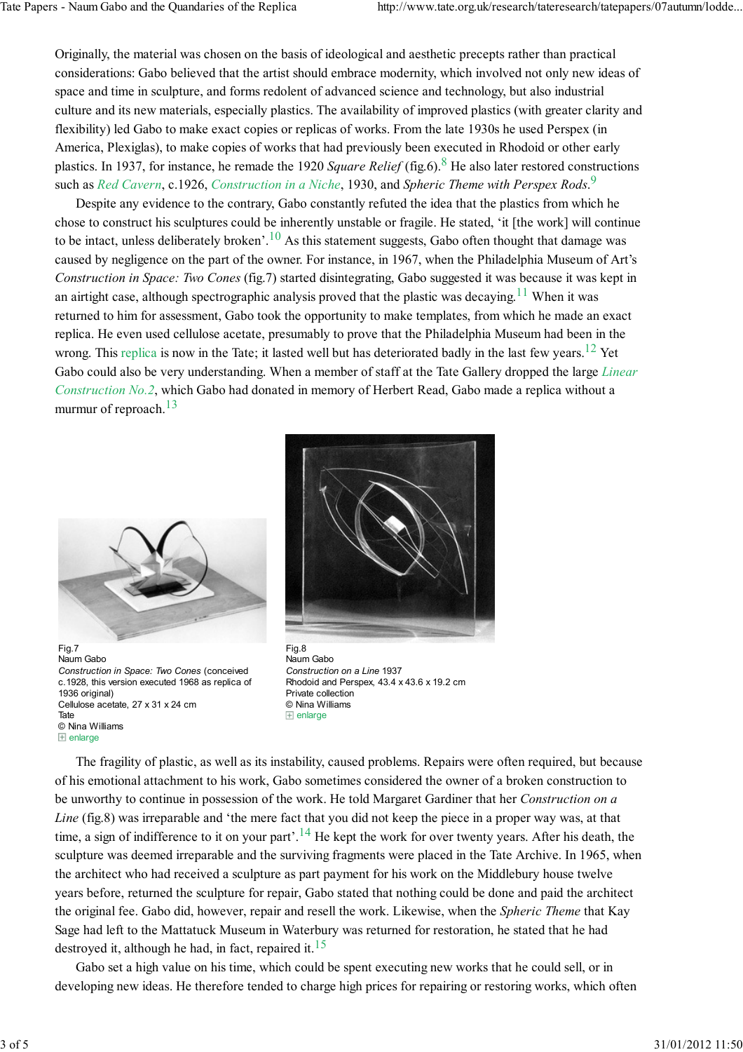Originally, the material was chosen on the basis of ideological and aesthetic precepts rather than practical considerations: Gabo believed that the artist should embrace modernity, which involved not only new ideas of space and time in sculpture, and forms redolent of advanced science and technology, but also industrial culture and its new materials, especially plastics. The availability of improved plastics (with greater clarity and flexibility) led Gabo to make exact copies or replicas of works. From the late 1930s he used Perspex (in America, Plexiglas), to make copies of works that had previously been executed in Rhodoid or other early plastics. In 1937, for instance, he remade the 1920 Square Relief (fig.6).<sup>8</sup> He also later restored constructions such as Red Cavern, c.1926, Construction in a Niche, 1930, and Spheric Theme with Perspex Rods.<sup>9</sup>

Despite any evidence to the contrary, Gabo constantly refuted the idea that the plastics from which he chose to construct his sculptures could be inherently unstable or fragile. He stated, 'it [the work] will continue to be intact, unless deliberately broken'.<sup>10</sup> As this statement suggests, Gabo often thought that damage was caused by negligence on the part of the owner. For instance, in 1967, when the Philadelphia Museum of Art's Construction in Space: Two Cones (fig.7) started disintegrating, Gabo suggested it was because it was kept in an airtight case, although spectrographic analysis proved that the plastic was decaying.<sup>11</sup> When it was returned to him for assessment, Gabo took the opportunity to make templates, from which he made an exact replica. He even used cellulose acetate, presumably to prove that the Philadelphia Museum had been in the wrong. This replica is now in the Tate; it lasted well but has deteriorated badly in the last few years.<sup>12</sup> Yet Gabo could also be very understanding. When a member of staff at the Tate Gallery dropped the large Linear Construction No.2, which Gabo had donated in memory of Herbert Read, Gabo made a replica without a murmur of reproach.<sup>13</sup>



Fig.7 Naum Gabo Construction in Space: Two Cones (conceived c.1928, this version executed 1968 as replica of 1936 original) Cellulose acetate, 27 x 31 x 24 cm Tate © Nina Williams  $\boxplus$  enlarge



Fig.8 Naum Gabo Construction on a Line 1937 Rhodoid and Perspex, 43.4 x 43.6 x 19.2 cm Private collection © Nina Williams  $\boxplus$  enlarge

The fragility of plastic, as well as its instability, caused problems. Repairs were often required, but because of his emotional attachment to his work, Gabo sometimes considered the owner of a broken construction to be unworthy to continue in possession of the work. He told Margaret Gardiner that her Construction on a Line (fig.8) was irreparable and 'the mere fact that you did not keep the piece in a proper way was, at that time, a sign of indifference to it on your part'.<sup>14</sup> He kept the work for over twenty years. After his death, the sculpture was deemed irreparable and the surviving fragments were placed in the Tate Archive. In 1965, when the architect who had received a sculpture as part payment for his work on the Middlebury house twelve years before, returned the sculpture for repair, Gabo stated that nothing could be done and paid the architect the original fee. Gabo did, however, repair and resell the work. Likewise, when the *Spheric Theme* that Kay Sage had left to the Mattatuck Museum in Waterbury was returned for restoration, he stated that he had destroyed it, although he had, in fact, repaired it.<sup>15</sup>

Gabo set a high value on his time, which could be spent executing new works that he could sell, or in developing new ideas. He therefore tended to charge high prices for repairing or restoring works, which often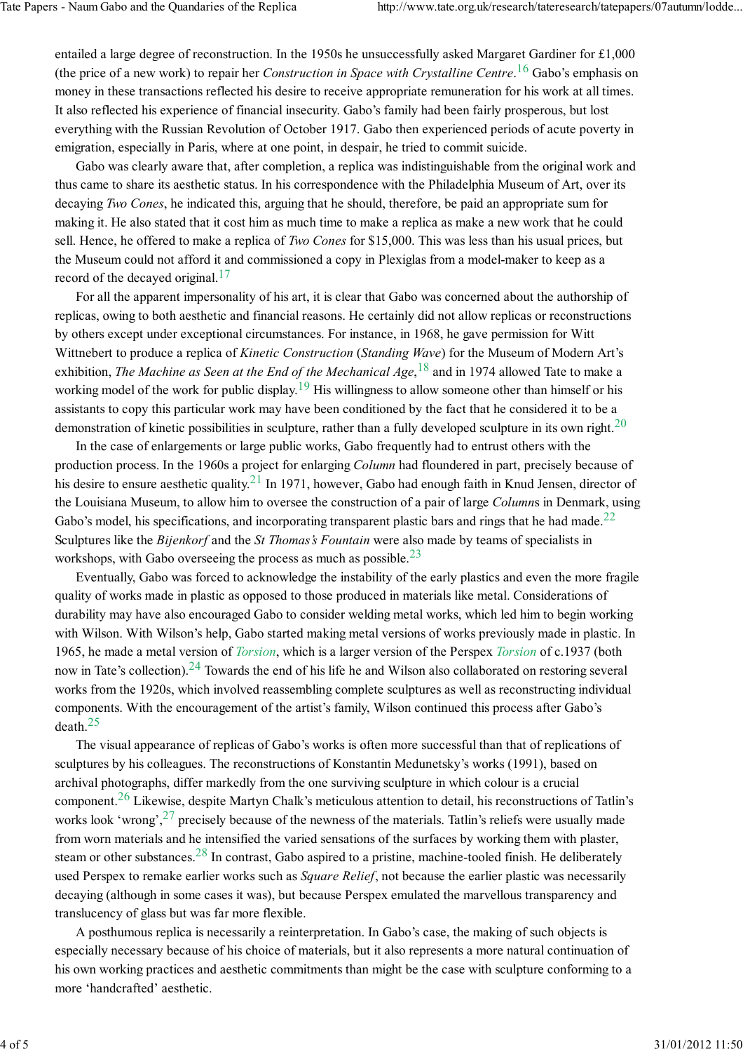entailed a large degree of reconstruction. In the 1950s he unsuccessfully asked Margaret Gardiner for £1,000 (the price of a new work) to repair her *Construction in Space with Crystalline Centre*.<sup>16</sup> Gabo's emphasis on money in these transactions reflected his desire to receive appropriate remuneration for his work at all times. It also reflected his experience of financial insecurity. Gabo's family had been fairly prosperous, but lost everything with the Russian Revolution of October 1917. Gabo then experienced periods of acute poverty in emigration, especially in Paris, where at one point, in despair, he tried to commit suicide.

Gabo was clearly aware that, after completion, a replica was indistinguishable from the original work and thus came to share its aesthetic status. In his correspondence with the Philadelphia Museum of Art, over its decaying Two Cones, he indicated this, arguing that he should, therefore, be paid an appropriate sum for making it. He also stated that it cost him as much time to make a replica as make a new work that he could sell. Hence, he offered to make a replica of Two Cones for \$15,000. This was less than his usual prices, but the Museum could not afford it and commissioned a copy in Plexiglas from a model-maker to keep as a record of the decayed original. $17$ 

For all the apparent impersonality of his art, it is clear that Gabo was concerned about the authorship of replicas, owing to both aesthetic and financial reasons. He certainly did not allow replicas or reconstructions by others except under exceptional circumstances. For instance, in 1968, he gave permission for Witt Wittnebert to produce a replica of *Kinetic Construction* (*Standing Wave*) for the Museum of Modern Art's exhibition, *The Machine as Seen at the End of the Mechanical Age*,  $^{18}$  and in 1974 allowed Tate to make a working model of the work for public display.<sup>19</sup> His willingness to allow someone other than himself or his assistants to copy this particular work may have been conditioned by the fact that he considered it to be a demonstration of kinetic possibilities in sculpture, rather than a fully developed sculpture in its own right.<sup>20</sup>

In the case of enlargements or large public works, Gabo frequently had to entrust others with the production process. In the 1960s a project for enlarging Column had floundered in part, precisely because of his desire to ensure aesthetic quality.<sup>21</sup> In 1971, however, Gabo had enough faith in Knud Jensen, director of the Louisiana Museum, to allow him to oversee the construction of a pair of large Columns in Denmark, using Gabo's model, his specifications, and incorporating transparent plastic bars and rings that he had made. $^{22}$ Sculptures like the *Bijenkorf* and the *St Thomas's Fountain* were also made by teams of specialists in workshops, with Gabo overseeing the process as much as possible. $^{23}$ 

Eventually, Gabo was forced to acknowledge the instability of the early plastics and even the more fragile quality of works made in plastic as opposed to those produced in materials like metal. Considerations of durability may have also encouraged Gabo to consider welding metal works, which led him to begin working with Wilson. With Wilson's help, Gabo started making metal versions of works previously made in plastic. In 1965, he made a metal version of *Torsion*, which is a larger version of the Perspex *Torsion* of c.1937 (both now in Tate's collection).<sup>24</sup> Towards the end of his life he and Wilson also collaborated on restoring several works from the 1920s, which involved reassembling complete sculptures as well as reconstructing individual components. With the encouragement of the artist's family, Wilson continued this process after Gabo's death. $25$ 

The visual appearance of replicas of Gabo's works is often more successful than that of replications of sculptures by his colleagues. The reconstructions of Konstantin Medunetsky's works (1991), based on archival photographs, differ markedly from the one surviving sculpture in which colour is a crucial component.<sup>26</sup> Likewise, despite Martyn Chalk's meticulous attention to detail, his reconstructions of Tatlin's works look 'wrong',  $27$  precisely because of the newness of the materials. Tatlin's reliefs were usually made from worn materials and he intensified the varied sensations of the surfaces by working them with plaster, steam or other substances.<sup>28</sup> In contrast, Gabo aspired to a pristine, machine-tooled finish. He deliberately used Perspex to remake earlier works such as *Square Relief*, not because the earlier plastic was necessarily decaying (although in some cases it was), but because Perspex emulated the marvellous transparency and translucency of glass but was far more flexible.

A posthumous replica is necessarily a reinterpretation. In Gabo's case, the making of such objects is especially necessary because of his choice of materials, but it also represents a more natural continuation of his own working practices and aesthetic commitments than might be the case with sculpture conforming to a more 'handcrafted' aesthetic.